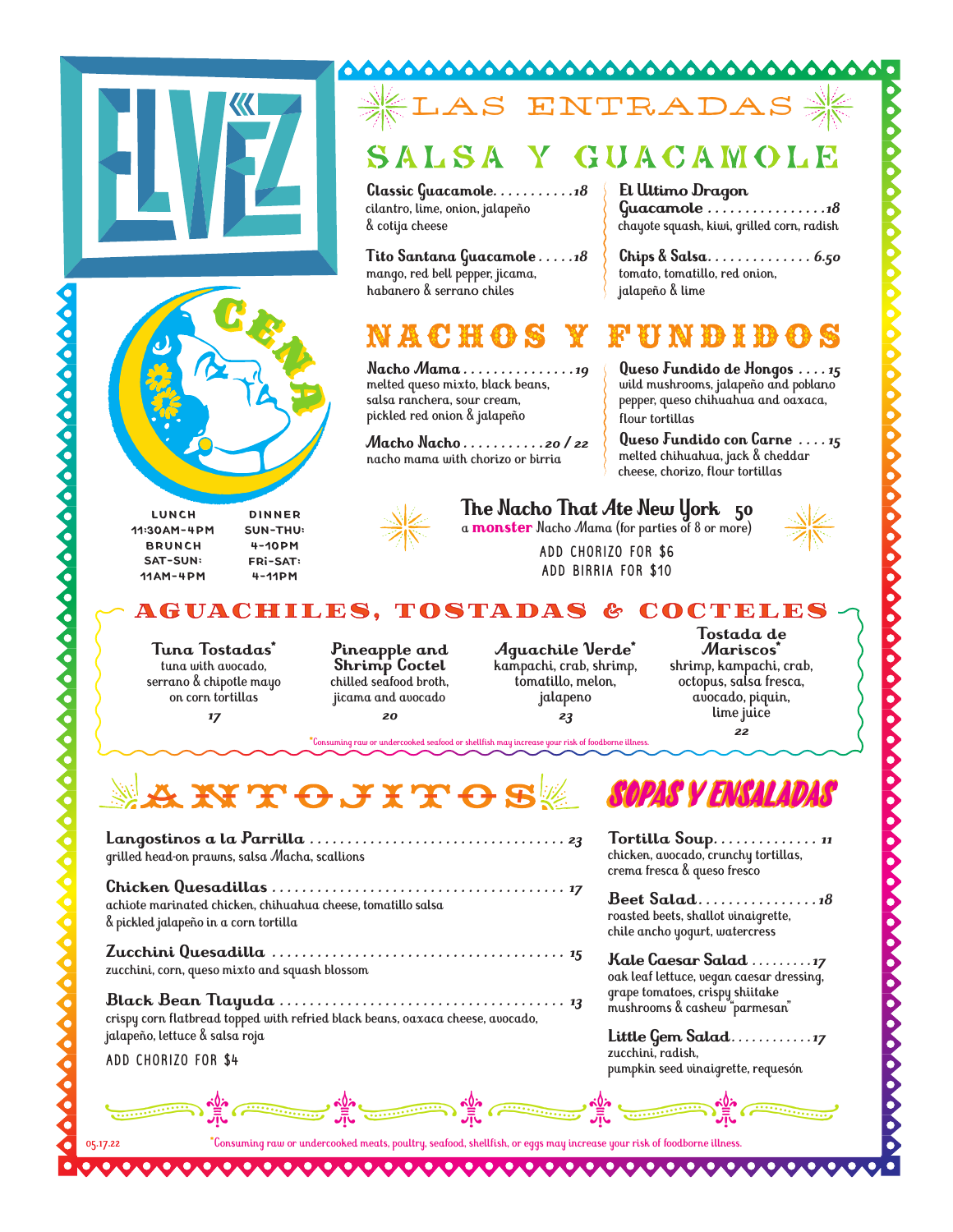

### **SO** YО LAS ENTRADAS

Ω

**Classic Guacamole** *. . . . . . . . . . 18* cilantro, lime, onion, jalapeño & cotija cheese

**Tito Santana Guacamole** *. . . . 18*  mango, red bell pepper, jicama, habanero & serrano chiles

## n a c h g

**Nacho Mama** *. . . . . . . . . . . . . . 19* melted queso mixto, black beans, salsa ranchera, sour cream, pickled red onion & jalapeño

**Macho Nacho** *. . . . . . . . . . 20 / 22* nacho mama with chorizo or birria

**El Ultimo Dragon Guacamole** *. . . . . . . . . . . . . . . 18* chayote squash, kiwi, grilled corn, radish

**Chips & Salsa** *. . . . . . . . . . . . . . 6.50* tomato, tomatillo, red onion, jalapeño & lime

### 春秋 鹿 野

**Queso Fundido de Hongos** *. . . 15* wild mushrooms, jalapeño and poblano pepper, queso chihuahua and oaxaca, flour tortillas

**Queso Fundido con Carne** *. . . 15* melted chihuahua, jack & cheddar cheese, chorizo, flour tortillas

> **Tostada de Mariscos\*** shrimp, kampachi, crab, octopus, salsa fresca, avocado, piquin, lime juice *22*



### **The Nacho That Ate New York 50**

a **monster** Nacho Mama (for parties of 8 or more)

ADD CHORIZO FOR \$6 ADD BIRRIA FOR \$10

AGUACHILES, TOSTADAS & COCTELES

**Tuna Tostadas\*** tuna with avocado, serran o & chipotle mayo on corn tortillas

DINNER Sun-THU: 4-10pm Fri-sat: 4-11pm

LUNCH 11:30am-4PM BRUNCH sat-sun: 11am-4pm

*17*



**Aguachile Verde\*** kampachi, crab, shrimp, tomatillo, melon, jalapeno *23*

**\***Consuming raw or undercooked seafood or shellfish may increase your risk of foodborne illness.

**KITC JITCS** 

**Langostinos a la Parrilla** *. . . . . . . . . . . . . . . . . . . . . . . . . . . . . . . . . . 23* grilled head-on prawns, salsa Macha, scallions

**Chicken Quesadillas** *. . . . . . . . . . . . . . . . . . . . . . . . . . . . . . . . . . . . . . . 17* achiote marinated chicken, chihuahua cheese, tomatillo salsa & pickled jalapeño in a corn tortilla

**Zucchini Quesadilla** *. . . . . . . . . . . . . . . . . . . . . . . . . . . . . . . . . . . . . . . 15* zucchini, corn, queso mixto and squash blossom

**Black Bean Tlayuda** *. . . . . . . . . . . . . . . . . . . . . . . . . . . . . . . . . . . . . . 13* crispy corn flatbread topped with refried black beans, oaxaca cheese, avocado, jalapeño, lettuce & salsa roja

ADD CHORIZO FOR \$4

05.17.22

# SOPAS Y ENSALADAS

**Tortilla Soup** *. . . . . . . . . . . . . . <sup>11</sup>*chicken, avocado, crunchy tortillas, crema fresca & queso fresco

**Beet Salad** *. . . . . . . . . . . . . . . 18*  roasted beets, shallot vinaigrette, chile ancho yogurt, watercress

**Kale Caesar Salad** *. . . . . . . . 17*  oak leaf lettuce, vegan caesar dressing, grape tomatoes, crispy shiitake mushrooms & cashew "parmesan"

**Little Gem Salad** *. . . . . . . . . . . 17*  zucchini, radish, pumpkin seed vinaigrette, requesón

���� ���� � ��

**\***Consuming raw or undercooked meats, poultry, seafood, shellfish, or eggs may increase your risk of foodborne illness.